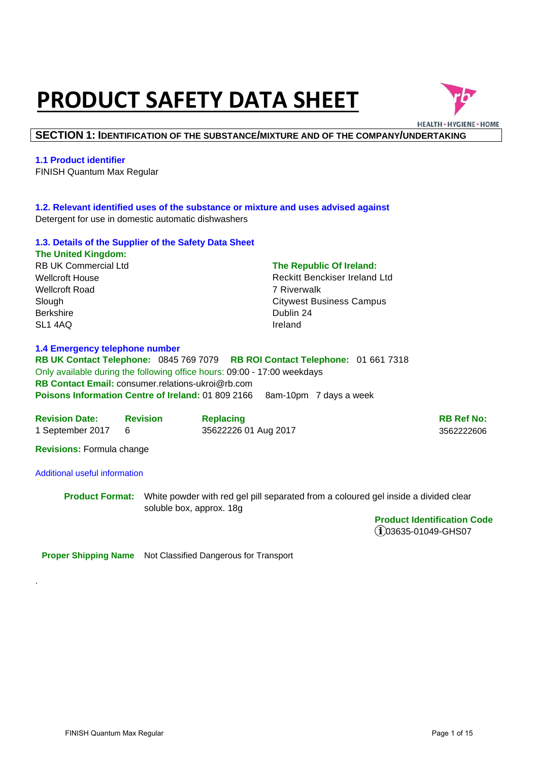# **PRODUCT SAFETY DATA SHEET**



#### **SECTION 1: IDENTIFICATION OF THE SUBSTANCE/MIXTURE AND OF THE COMPANY/UNDERTAKING**

#### **1.1 Product identifier**

FINISH Quantum Max Regular

#### **1.2. Relevant identified uses of the substance or mixture and uses advised against**  Detergent for use in domestic automatic dishwashers

#### **1.3. Details of the Supplier of the Safety Data Sheet The United Kingdom:**

RB UK Commercial Ltd Wellcroft House Wellcroft Road Slough Berkshire SL1 4AQ

#### **The Republic Of Ireland:**

Reckitt Benckiser Ireland Ltd 7 Riverwalk Citywest Business Campus Dublin 24 Ireland

#### **1.4 Emergency telephone number**

**RB UK Contact Telephone:** 0845 769 7079 **RB ROI Contact Telephone:** 01 661 7318 Only available during the following office hours: 09:00 - 17:00 weekdays **RB Contact Email:** consumer.relations-ukroi@rb.com **Poisons Information Centre of Ireland:** 01 809 2166 8am-10pm 7 days a week

| <b>Revision Date:</b> | <b>Revision</b> | <b>Replacing</b>     | <b>RB Ref No:</b> |
|-----------------------|-----------------|----------------------|-------------------|
| 1 September 2017      |                 | 35622226 01 Aug 2017 | 3562222606        |

**Revisions:** Formula change

#### Additional useful information

.

**Product Format:** White powder with red gel pill separated from a coloured gel inside a divided clear soluble box, approx. 18g

> **Product Identification Code**  03635-01049-GHS07

**Proper Shipping Name** Not Classified Dangerous for Transport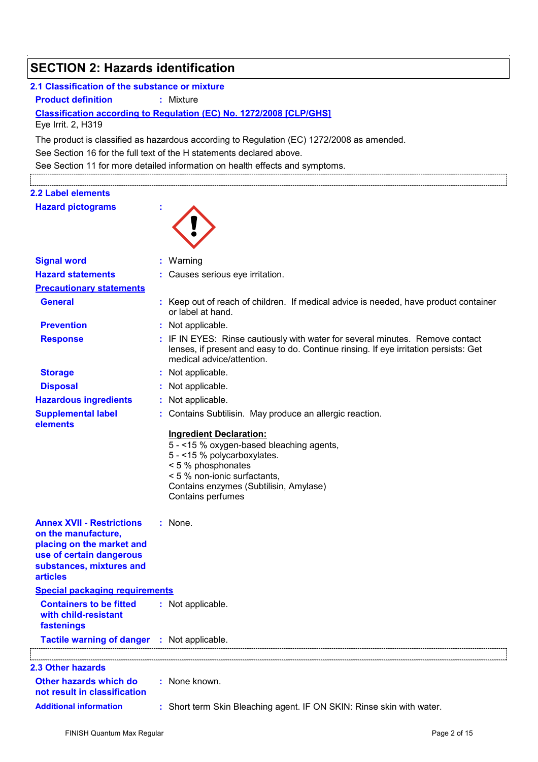| <b>SECTION 2: Hazards identification</b>                                                                                                                        |                                                                                                                                                                                                                                  |
|-----------------------------------------------------------------------------------------------------------------------------------------------------------------|----------------------------------------------------------------------------------------------------------------------------------------------------------------------------------------------------------------------------------|
| 2.1 Classification of the substance or mixture                                                                                                                  |                                                                                                                                                                                                                                  |
| <b>Product definition</b>                                                                                                                                       | : Mixture                                                                                                                                                                                                                        |
| Eye Irrit. 2, H319                                                                                                                                              | Classification according to Regulation (EC) No. 1272/2008 [CLP/GHS]                                                                                                                                                              |
|                                                                                                                                                                 | The product is classified as hazardous according to Regulation (EC) 1272/2008 as amended.                                                                                                                                        |
|                                                                                                                                                                 | See Section 16 for the full text of the H statements declared above.                                                                                                                                                             |
|                                                                                                                                                                 | See Section 11 for more detailed information on health effects and symptoms.                                                                                                                                                     |
|                                                                                                                                                                 |                                                                                                                                                                                                                                  |
| 2.2 Label elements                                                                                                                                              |                                                                                                                                                                                                                                  |
| <b>Hazard pictograms</b>                                                                                                                                        |                                                                                                                                                                                                                                  |
|                                                                                                                                                                 |                                                                                                                                                                                                                                  |
| <b>Signal word</b>                                                                                                                                              | Warning                                                                                                                                                                                                                          |
| <b>Hazard statements</b>                                                                                                                                        | : Causes serious eye irritation.                                                                                                                                                                                                 |
| <b>Precautionary statements</b>                                                                                                                                 |                                                                                                                                                                                                                                  |
| <b>General</b>                                                                                                                                                  | : Keep out of reach of children. If medical advice is needed, have product container<br>or label at hand.                                                                                                                        |
| <b>Prevention</b>                                                                                                                                               | : Not applicable.                                                                                                                                                                                                                |
| <b>Response</b>                                                                                                                                                 | : IF IN EYES: Rinse cautiously with water for several minutes. Remove contact<br>lenses, if present and easy to do. Continue rinsing. If eye irritation persists: Get<br>medical advice/attention.                               |
| <b>Storage</b>                                                                                                                                                  | : Not applicable.                                                                                                                                                                                                                |
| <b>Disposal</b>                                                                                                                                                 | : Not applicable.                                                                                                                                                                                                                |
| <b>Hazardous ingredients</b>                                                                                                                                    | : Not applicable.                                                                                                                                                                                                                |
| <b>Supplemental label</b><br>elements                                                                                                                           | : Contains Subtilisin. May produce an allergic reaction.                                                                                                                                                                         |
|                                                                                                                                                                 | <b>Ingredient Declaration:</b><br>5 - < 15 % oxygen-based bleaching agents,<br>5 - < 15 % polycarboxylates.<br>< 5 % phosphonates<br>< 5 % non-ionic surfactants.<br>Contains enzymes (Subtilisin, Amylase)<br>Contains perfumes |
| <b>Annex XVII - Restrictions</b><br>on the manufacture,<br>placing on the market and<br>use of certain dangerous<br>substances, mixtures and<br><b>articles</b> | $:$ None.                                                                                                                                                                                                                        |
| <b>Special packaging requirements</b>                                                                                                                           |                                                                                                                                                                                                                                  |
| <b>Containers to be fitted</b><br>with child-resistant<br>fastenings                                                                                            | : Not applicable.                                                                                                                                                                                                                |
| Tactile warning of danger : Not applicable.                                                                                                                     |                                                                                                                                                                                                                                  |
|                                                                                                                                                                 |                                                                                                                                                                                                                                  |
| <b>2.3 Other hazards</b>                                                                                                                                        |                                                                                                                                                                                                                                  |
| Other hazards which do<br>not result in classification                                                                                                          | : None known.                                                                                                                                                                                                                    |
| <b>Additional information</b>                                                                                                                                   | : Short term Skin Bleaching agent. IF ON SKIN: Rinse skin with water.                                                                                                                                                            |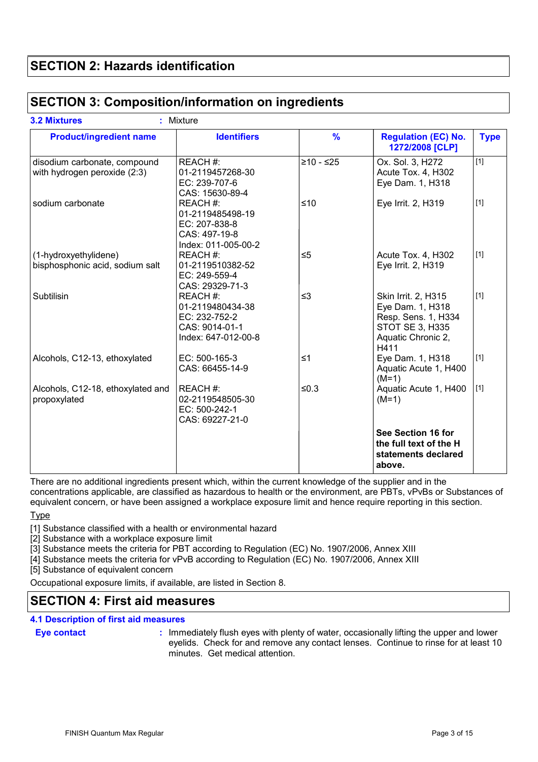# **SECTION 2: Hazards identification**

### **SECTION 3: Composition/information on ingredients**

| <b>Product/ingredient name</b>                               | <b>Identifiers</b>                                                                     | $\frac{9}{6}$ | <b>Regulation (EC) No.</b><br>1272/2008 [CLP]                                                                          | <b>Type</b> |
|--------------------------------------------------------------|----------------------------------------------------------------------------------------|---------------|------------------------------------------------------------------------------------------------------------------------|-------------|
| disodium carbonate, compound<br>with hydrogen peroxide (2:3) | REACH #:<br>01-2119457268-30<br>EC: 239-707-6<br>CAS: 15630-89-4                       | $≥10 - ≤25$   | Ox. Sol. 3, H272<br>Acute Tox. 4, H302<br>Eye Dam. 1, H318                                                             | $[1]$       |
| sodium carbonate                                             | REACH #:<br>01-2119485498-19<br>EC: 207-838-8<br>CAS: 497-19-8<br>Index: 011-005-00-2  | $≤10$         | Eye Irrit. 2, H319                                                                                                     | $[1]$       |
| (1-hydroxyethylidene)<br>bisphosphonic acid, sodium salt     | REACH#:<br>01-2119510382-52<br>EC: 249-559-4<br>CAS: 29329-71-3                        | $\leq 5$      | Acute Tox. 4, H302<br>Eye Irrit. 2, H319                                                                               | $[1]$       |
| Subtilisin                                                   | REACH #:<br>01-2119480434-38<br>EC: 232-752-2<br>CAS: 9014-01-1<br>Index: 647-012-00-8 | $\leq$ 3      | Skin Irrit. 2, H315<br>Eye Dam. 1, H318<br>Resp. Sens. 1, H334<br><b>STOT SE 3, H335</b><br>Aquatic Chronic 2,<br>H411 | $[1]$       |
| Alcohols, C12-13, ethoxylated                                | EC: 500-165-3<br>CAS: 66455-14-9                                                       | $\leq 1$      | Eye Dam. 1, H318<br>Aquatic Acute 1, H400<br>$(M=1)$                                                                   | $[1]$       |
| Alcohols, C12-18, ethoxylated and<br>propoxylated            | REACH#:<br>02-2119548505-30<br>EC: 500-242-1<br>CAS: 69227-21-0                        | $≤0.3$        | Aquatic Acute 1, H400<br>$(M=1)$                                                                                       | $[1]$       |
|                                                              |                                                                                        |               | See Section 16 for<br>the full text of the H<br>statements declared<br>above.                                          |             |

There are no additional ingredients present which, within the current knowledge of the supplier and in the concentrations applicable, are classified as hazardous to health or the environment, are PBTs, vPvBs or Substances of equivalent concern, or have been assigned a workplace exposure limit and hence require reporting in this section.

Type

[1] Substance classified with a health or environmental hazard

[2] Substance with a workplace exposure limit

[3] Substance meets the criteria for PBT according to Regulation (EC) No. 1907/2006, Annex XIII

[4] Substance meets the criteria for vPvB according to Regulation (EC) No. 1907/2006, Annex XIII

[5] Substance of equivalent concern

Occupational exposure limits, if available, are listed in Section 8.

# **SECTION 4: First aid measures**

#### **4.1 Description of first aid measures**

#### **Eye contact :**

: Immediately flush eyes with plenty of water, occasionally lifting the upper and lower eyelids. Check for and remove any contact lenses. Continue to rinse for at least 10 minutes. Get medical attention.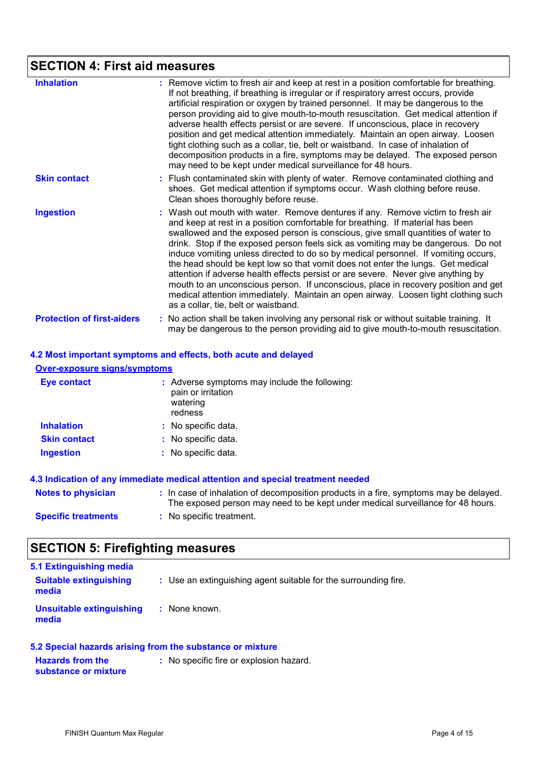# **SECTION 4: First aid measures**

| <b>Inhalation</b>                 | : Remove victim to fresh air and keep at rest in a position comfortable for breathing.<br>If not breathing, if breathing is irregular or if respiratory arrest occurs, provide<br>artificial respiration or oxygen by trained personnel. It may be dangerous to the<br>person providing aid to give mouth-to-mouth resuscitation. Get medical attention if<br>adverse health effects persist or are severe. If unconscious, place in recovery<br>position and get medical attention immediately. Maintain an open airway. Loosen<br>tight clothing such as a collar, tie, belt or waistband. In case of inhalation of<br>decomposition products in a fire, symptoms may be delayed. The exposed person<br>may need to be kept under medical surveillance for 48 hours.                                                       |
|-----------------------------------|------------------------------------------------------------------------------------------------------------------------------------------------------------------------------------------------------------------------------------------------------------------------------------------------------------------------------------------------------------------------------------------------------------------------------------------------------------------------------------------------------------------------------------------------------------------------------------------------------------------------------------------------------------------------------------------------------------------------------------------------------------------------------------------------------------------------------|
| <b>Skin contact</b>               | : Flush contaminated skin with plenty of water. Remove contaminated clothing and<br>shoes. Get medical attention if symptoms occur. Wash clothing before reuse.<br>Clean shoes thoroughly before reuse.                                                                                                                                                                                                                                                                                                                                                                                                                                                                                                                                                                                                                      |
| <b>Ingestion</b>                  | : Wash out mouth with water. Remove dentures if any. Remove victim to fresh air<br>and keep at rest in a position comfortable for breathing. If material has been<br>swallowed and the exposed person is conscious, give small quantities of water to<br>drink. Stop if the exposed person feels sick as vomiting may be dangerous. Do not<br>induce vomiting unless directed to do so by medical personnel. If vomiting occurs,<br>the head should be kept low so that vomit does not enter the lungs. Get medical<br>attention if adverse health effects persist or are severe. Never give anything by<br>mouth to an unconscious person. If unconscious, place in recovery position and get<br>medical attention immediately. Maintain an open airway. Loosen tight clothing such<br>as a collar, tie, belt or waistband. |
| <b>Protection of first-aiders</b> | : No action shall be taken involving any personal risk or without suitable training. It<br>may be dangerous to the person providing aid to give mouth-to-mouth resuscitation.                                                                                                                                                                                                                                                                                                                                                                                                                                                                                                                                                                                                                                                |

| 4.2 Most important symptoms and effects, both acute and delayed |  |
|-----------------------------------------------------------------|--|
| <b>Over-exposure signs/symptoms</b>                             |  |

| <b>Eye contact</b>  | : Adverse symptoms may include the following:<br>pain or irritation<br>watering<br>redness |
|---------------------|--------------------------------------------------------------------------------------------|
| <b>Inhalation</b>   | : No specific data.                                                                        |
| <b>Skin contact</b> | : No specific data.                                                                        |
| <b>Ingestion</b>    | : No specific data.                                                                        |

| Notes to physician         | : In case of inhalation of decomposition products in a fire, symptoms may be delayed.<br>The exposed person may need to be kept under medical surveillance for 48 hours. |
|----------------------------|--------------------------------------------------------------------------------------------------------------------------------------------------------------------------|
| <b>Specific treatments</b> | : No specific treatment.                                                                                                                                                 |

# **SECTION 5: Firefighting measures**

| 5.1 Extinguishing media                |                                                                 |
|----------------------------------------|-----------------------------------------------------------------|
| <b>Suitable extinguishing</b><br>media | : Use an extinguishing agent suitable for the surrounding fire. |
| Unsuitable extinguishing<br>media      | : None known.                                                   |

| 5.2 Special hazards arising from the substance or mixture |                                         |
|-----------------------------------------------------------|-----------------------------------------|
| <b>Hazards from the</b>                                   | : No specific fire or explosion hazard. |
| substance or mixture                                      |                                         |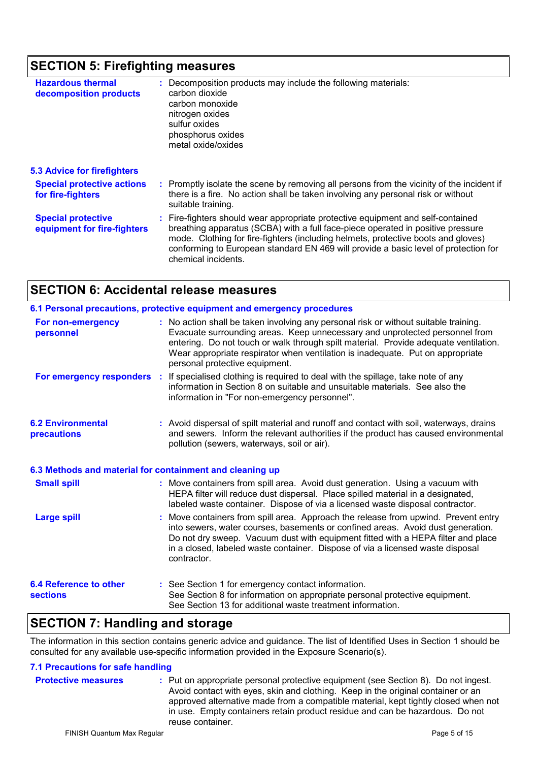# **SECTION 5: Firefighting measures**

| <b>Hazardous thermal</b><br>decomposition products       | : Decomposition products may include the following materials:<br>carbon dioxide<br>carbon monoxide<br>nitrogen oxides<br>sulfur oxides<br>phosphorus oxides<br>metal oxide/oxides                                                                                                                                                                                     |
|----------------------------------------------------------|-----------------------------------------------------------------------------------------------------------------------------------------------------------------------------------------------------------------------------------------------------------------------------------------------------------------------------------------------------------------------|
| <b>5.3 Advice for firefighters</b>                       |                                                                                                                                                                                                                                                                                                                                                                       |
| <b>Special protective actions</b><br>for fire-fighters   | : Promptly isolate the scene by removing all persons from the vicinity of the incident if<br>there is a fire. No action shall be taken involving any personal risk or without<br>suitable training.                                                                                                                                                                   |
| <b>Special protective</b><br>equipment for fire-fighters | : Fire-fighters should wear appropriate protective equipment and self-contained<br>breathing apparatus (SCBA) with a full face-piece operated in positive pressure<br>mode. Clothing for fire-fighters (including helmets, protective boots and gloves)<br>conforming to European standard EN 469 will provide a basic level of protection for<br>chemical incidents. |

# **SECTION 6: Accidental release measures**

|                                                          | 6.1 Personal precautions, protective equipment and emergency procedures                                                                                                                                                                                                                                                                                                         |
|----------------------------------------------------------|---------------------------------------------------------------------------------------------------------------------------------------------------------------------------------------------------------------------------------------------------------------------------------------------------------------------------------------------------------------------------------|
| For non-emergency<br>personnel                           | : No action shall be taken involving any personal risk or without suitable training.<br>Evacuate surrounding areas. Keep unnecessary and unprotected personnel from<br>entering. Do not touch or walk through spilt material. Provide adequate ventilation.<br>Wear appropriate respirator when ventilation is inadequate. Put on appropriate<br>personal protective equipment. |
|                                                          | For emergency responders : If specialised clothing is required to deal with the spillage, take note of any<br>information in Section 8 on suitable and unsuitable materials. See also the<br>information in "For non-emergency personnel".                                                                                                                                      |
| <b>6.2 Environmental</b><br>precautions                  | : Avoid dispersal of spilt material and runoff and contact with soil, waterways, drains<br>and sewers. Inform the relevant authorities if the product has caused environmental<br>pollution (sewers, waterways, soil or air).                                                                                                                                                   |
| 6.3 Methods and material for containment and cleaning up |                                                                                                                                                                                                                                                                                                                                                                                 |
| <b>Small spill</b>                                       | : Move containers from spill area. Avoid dust generation. Using a vacuum with<br>HEPA filter will reduce dust dispersal. Place spilled material in a designated,<br>labeled waste container. Dispose of via a licensed waste disposal contractor.                                                                                                                               |
| <b>Large spill</b>                                       | Move containers from spill area. Approach the release from upwind. Prevent entry<br>into sewers, water courses, basements or confined areas. Avoid dust generation.<br>Do not dry sweep. Vacuum dust with equipment fitted with a HEPA filter and place<br>in a closed, labeled waste container. Dispose of via a licensed waste disposal<br>contractor.                        |
| <b>6.4 Reference to other</b><br><b>sections</b>         | : See Section 1 for emergency contact information.<br>See Section 8 for information on appropriate personal protective equipment.<br>See Section 13 for additional waste treatment information.                                                                                                                                                                                 |

### **SECTION 7: Handling and storage**

The information in this section contains generic advice and guidance. The list of Identified Uses in Section 1 should be consulted for any available use-specific information provided in the Exposure Scenario(s).

#### **7.1 Precautions for safe handling**

| <b>Protective measures</b> | : Put on appropriate personal protective equipment (see Section 8). Do not ingest.<br>Avoid contact with eyes, skin and clothing. Keep in the original container or an<br>approved alternative made from a compatible material, kept tightly closed when not<br>in use. Empty containers retain product residue and can be hazardous. Do not<br>reuse container. |
|----------------------------|------------------------------------------------------------------------------------------------------------------------------------------------------------------------------------------------------------------------------------------------------------------------------------------------------------------------------------------------------------------|
|----------------------------|------------------------------------------------------------------------------------------------------------------------------------------------------------------------------------------------------------------------------------------------------------------------------------------------------------------------------------------------------------------|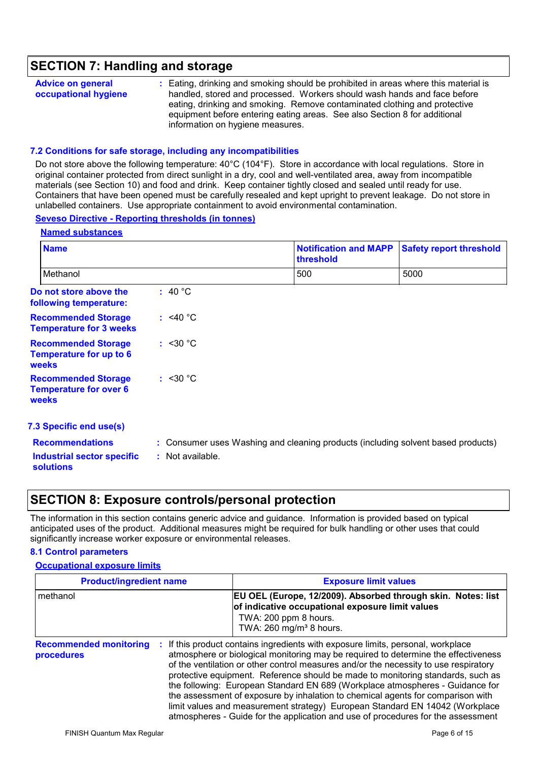### **SECTION 7: Handling and storage**

| <b>Advice on general</b><br>occupational hygiene<br>information on hygiene measures. | : Eating, drinking and smoking should be prohibited in areas where this material is<br>handled, stored and processed. Workers should wash hands and face before<br>eating, drinking and smoking. Remove contaminated clothing and protective<br>equipment before entering eating areas. See also Section 8 for additional |
|--------------------------------------------------------------------------------------|---------------------------------------------------------------------------------------------------------------------------------------------------------------------------------------------------------------------------------------------------------------------------------------------------------------------------|
|--------------------------------------------------------------------------------------|---------------------------------------------------------------------------------------------------------------------------------------------------------------------------------------------------------------------------------------------------------------------------------------------------------------------------|

#### **7.2 Conditions for safe storage, including any incompatibilities**

Do not store above the following temperature: 40°C (104°F). Store in accordance with local regulations. Store in original container protected from direct sunlight in a dry, cool and well-ventilated area, away from incompatible materials (see Section 10) and food and drink. Keep container tightly closed and sealed until ready for use. Containers that have been opened must be carefully resealed and kept upright to prevent leakage. Do not store in unlabelled containers. Use appropriate containment to avoid environmental contamination.

#### **Seveso Directive - Reporting thresholds (in tonnes)**

| <b>Name</b>                                                           |                   | <b>Notification and MAPP</b><br>threshold                                        | <b>Safety report threshold</b> |
|-----------------------------------------------------------------------|-------------------|----------------------------------------------------------------------------------|--------------------------------|
| Methanol                                                              |                   | 500                                                                              | 5000                           |
| Do not store above the<br>following temperature:                      | : 40 $^{\circ}$ C |                                                                                  |                                |
| <b>Recommended Storage</b><br><b>Temperature for 3 weeks</b>          | : $<$ 40 °C       |                                                                                  |                                |
| <b>Recommended Storage</b><br>Temperature for up to 6<br><b>weeks</b> | : < 30 °C         |                                                                                  |                                |
| <b>Recommended Storage</b><br><b>Temperature for over 6</b><br>weeks  | : <30 °C          |                                                                                  |                                |
| 7.3 Specific end use(s)                                               |                   |                                                                                  |                                |
| <b>Recommendations</b>                                                |                   | : Consumer uses Washing and cleaning products (including solvent based products) |                                |
| <b>Industrial sector specific</b><br><b>solutions</b>                 | : Not available.  |                                                                                  |                                |

### **SECTION 8: Exposure controls/personal protection**

The information in this section contains generic advice and guidance. Information is provided based on typical anticipated uses of the product. Additional measures might be required for bulk handling or other uses that could significantly increase worker exposure or environmental releases.

#### **8.1 Control parameters**

#### **Occupational exposure limits**

| <b>Product/ingredient name</b><br>methanol |  | <b>Exposure limit values</b><br>EU OEL (Europe, 12/2009). Absorbed through skin. Notes: list<br>of indicative occupational exposure limit values<br>TWA: 200 ppm 8 hours.<br>TWA: 260 mg/m <sup>3</sup> 8 hours. |  |  |
|--------------------------------------------|--|------------------------------------------------------------------------------------------------------------------------------------------------------------------------------------------------------------------|--|--|
|                                            |  |                                                                                                                                                                                                                  |  |  |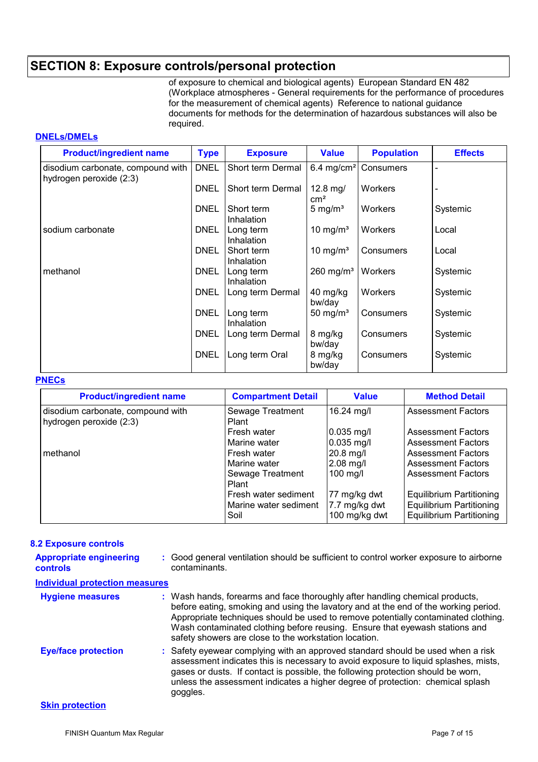# **SECTION 8: Exposure controls/personal protection**

of exposure to chemical and biological agents) European Standard EN 482 (Workplace atmospheres - General requirements for the performance of procedures for the measurement of chemical agents) Reference to national guidance documents for methods for the determination of hazardous substances will also be required.

#### **DNELs/DMELs**

| <b>Product/ingredient name</b>                               | <b>Type</b> | <b>Exposure</b>          | <b>Value</b>             | <b>Population</b> | <b>Effects</b> |
|--------------------------------------------------------------|-------------|--------------------------|--------------------------|-------------------|----------------|
| disodium carbonate, compound with<br>hydrogen peroxide (2:3) | <b>DNEL</b> | Short term Dermal        | 6.4 mg/cm <sup>2</sup>   | Consumers         |                |
|                                                              | <b>DNEL</b> | Short term Dermal        | $12.8$ mg/<br>$\rm cm^2$ | Workers           |                |
|                                                              | <b>DNEL</b> | Short term<br>Inhalation | 5 mg/ $m3$               | <b>Workers</b>    | Systemic       |
| sodium carbonate                                             | <b>DNEL</b> | Long term<br>Inhalation  | 10 mg/ $m3$              | <b>Workers</b>    | Local          |
|                                                              | <b>DNEL</b> | Short term<br>Inhalation | 10 mg/m <sup>3</sup>     | Consumers         | Local          |
| methanol                                                     | <b>DNEL</b> | Long term<br>Inhalation  | $260$ mg/m <sup>3</sup>  | <b>Workers</b>    | Systemic       |
|                                                              | <b>DNEL</b> | Long term Dermal         | 40 mg/kg<br>bw/day       | Workers           | Systemic       |
|                                                              | <b>DNEL</b> | Long term<br>Inhalation  | 50 mg/ $m3$              | Consumers         | Systemic       |
|                                                              | <b>DNEL</b> | Long term Dermal         | 8 mg/kg<br>bw/day        | Consumers         | Systemic       |
|                                                              | <b>DNEL</b> | Long term Oral           | 8 mg/kg<br>bw/day        | Consumers         | Systemic       |

#### **PNECs**

| <b>Product/ingredient name</b>                               | <b>Compartment Detail</b>     | <b>Value</b>                   | <b>Method Detail</b>                                               |
|--------------------------------------------------------------|-------------------------------|--------------------------------|--------------------------------------------------------------------|
| disodium carbonate, compound with<br>hydrogen peroxide (2:3) | Sewage Treatment<br>Plant     | 16.24 mg/l                     | <b>Assessment Factors</b>                                          |
|                                                              | Fresh water                   | $0.035$ mg/l                   | <b>Assessment Factors</b>                                          |
|                                                              | Marine water                  | $0.035$ mg/l                   | <b>Assessment Factors</b>                                          |
| methanol                                                     | Fresh water                   | 20.8 mg/l                      | <b>Assessment Factors</b>                                          |
|                                                              | Marine water                  | $2.08$ mg/l                    | <b>Assessment Factors</b>                                          |
|                                                              | Sewage Treatment<br>Plant     | 100 mg/l                       | <b>Assessment Factors</b>                                          |
|                                                              | Fresh water sediment          | 77 mg/kg dwt                   | <b>Equilibrium Partitioning</b>                                    |
|                                                              | Marine water sediment<br>Soil | 7.7 mg/kg dwt<br>100 mg/kg dwt | <b>Equilibrium Partitioning</b><br><b>Equilibrium Partitioning</b> |

#### **8.2 Exposure controls**

| <b>Appropriate engineering</b><br><b>controls</b> | : Good general ventilation should be sufficient to control worker exposure to airborne<br>contaminants.                                                                                                                                                                                                                                                                                           |
|---------------------------------------------------|---------------------------------------------------------------------------------------------------------------------------------------------------------------------------------------------------------------------------------------------------------------------------------------------------------------------------------------------------------------------------------------------------|
| <b>Individual protection measures</b>             |                                                                                                                                                                                                                                                                                                                                                                                                   |
| <b>Hygiene measures</b>                           | : Wash hands, forearms and face thoroughly after handling chemical products,<br>before eating, smoking and using the lavatory and at the end of the working period.<br>Appropriate techniques should be used to remove potentially contaminated clothing.<br>Wash contaminated clothing before reusing. Ensure that eyewash stations and<br>safety showers are close to the workstation location. |
| <b>Eye/face protection</b>                        | : Safety eyewear complying with an approved standard should be used when a risk<br>assessment indicates this is necessary to avoid exposure to liquid splashes, mists,<br>gases or dusts. If contact is possible, the following protection should be worn,<br>unless the assessment indicates a higher degree of protection: chemical splash<br>goggles.                                          |
| <b>Skin protection</b>                            |                                                                                                                                                                                                                                                                                                                                                                                                   |

### **Skin protection**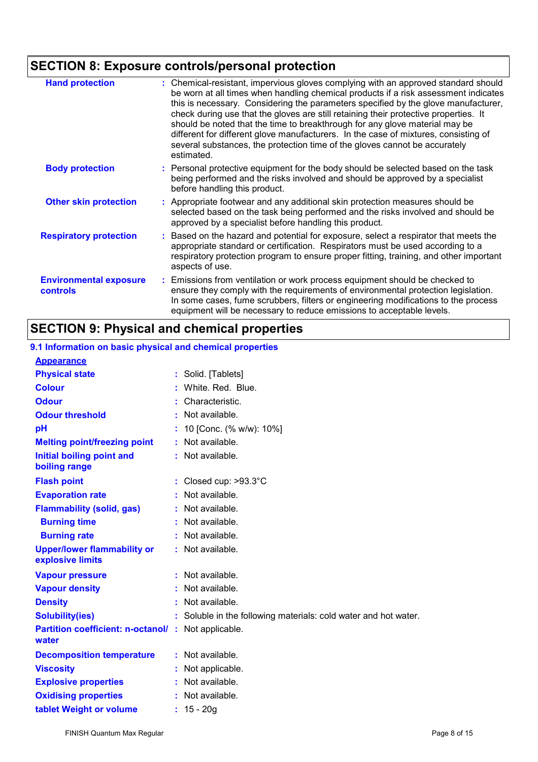# **SECTION 8: Exposure controls/personal protection**

| <b>Hand protection</b>                           | Chemical-resistant, impervious gloves complying with an approved standard should<br>be worn at all times when handling chemical products if a risk assessment indicates<br>this is necessary. Considering the parameters specified by the glove manufacturer,<br>check during use that the gloves are still retaining their protective properties. It<br>should be noted that the time to breakthrough for any glove material may be<br>different for different glove manufacturers. In the case of mixtures, consisting of<br>several substances, the protection time of the gloves cannot be accurately<br>estimated. |  |
|--------------------------------------------------|-------------------------------------------------------------------------------------------------------------------------------------------------------------------------------------------------------------------------------------------------------------------------------------------------------------------------------------------------------------------------------------------------------------------------------------------------------------------------------------------------------------------------------------------------------------------------------------------------------------------------|--|
| <b>Body protection</b>                           | : Personal protective equipment for the body should be selected based on the task<br>being performed and the risks involved and should be approved by a specialist<br>before handling this product.                                                                                                                                                                                                                                                                                                                                                                                                                     |  |
| <b>Other skin protection</b>                     | : Appropriate footwear and any additional skin protection measures should be<br>selected based on the task being performed and the risks involved and should be<br>approved by a specialist before handling this product.                                                                                                                                                                                                                                                                                                                                                                                               |  |
| <b>Respiratory protection</b>                    | Based on the hazard and potential for exposure, select a respirator that meets the<br>appropriate standard or certification. Respirators must be used according to a<br>respiratory protection program to ensure proper fitting, training, and other important<br>aspects of use.                                                                                                                                                                                                                                                                                                                                       |  |
| <b>Environmental exposure</b><br><b>controls</b> | Emissions from ventilation or work process equipment should be checked to<br>ensure they comply with the requirements of environmental protection legislation.<br>In some cases, fume scrubbers, filters or engineering modifications to the process<br>equipment will be necessary to reduce emissions to acceptable levels.                                                                                                                                                                                                                                                                                           |  |

# **SECTION 9: Physical and chemical properties**

| 9.1 Information on basic physical and chemical properties |                                                               |
|-----------------------------------------------------------|---------------------------------------------------------------|
| <b>Appearance</b>                                         |                                                               |
| <b>Physical state</b>                                     | : Solid. [Tablets]                                            |
| <b>Colour</b>                                             | White, Red. Blue.                                             |
| <b>Odour</b>                                              | Characteristic.                                               |
| <b>Odour threshold</b>                                    | Not available.                                                |
| pH                                                        | 10 [Conc. (% w/w): 10%]                                       |
| <b>Melting point/freezing point</b>                       | Not available.                                                |
| <b>Initial boiling point and</b><br>boiling range         | Not available.                                                |
| <b>Flash point</b>                                        | Closed cup: >93.3°C                                           |
| <b>Evaporation rate</b>                                   | Not available.                                                |
| <b>Flammability (solid, gas)</b>                          | Not available.                                                |
| <b>Burning time</b>                                       | Not available.                                                |
| <b>Burning rate</b>                                       | Not available.                                                |
| <b>Upper/lower flammability or</b><br>explosive limits    | Not available.                                                |
| <b>Vapour pressure</b>                                    | : Not available.                                              |
| <b>Vapour density</b>                                     | Not available.                                                |
| <b>Density</b>                                            | Not available.                                                |
| <b>Solubility(ies)</b>                                    | Soluble in the following materials: cold water and hot water. |
| <b>Partition coefficient: n-octanol/ :</b><br>water       | Not applicable.                                               |
| <b>Decomposition temperature</b>                          | : Not available.                                              |
| <b>Viscosity</b>                                          | Not applicable.                                               |
| <b>Explosive properties</b>                               | Not available.                                                |
| <b>Oxidising properties</b>                               | Not available.                                                |
| tablet Weight or volume                                   | $: 15 - 20g$                                                  |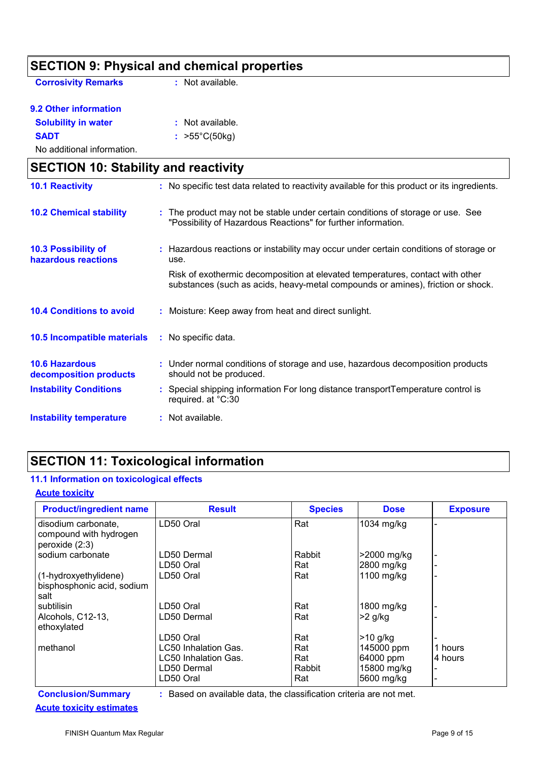|                                                 | <b>SECTION 9: Physical and chemical properties</b>                                                                                                               |
|-------------------------------------------------|------------------------------------------------------------------------------------------------------------------------------------------------------------------|
| <b>Corrosivity Remarks</b>                      | : Not available.                                                                                                                                                 |
| 9.2 Other information                           |                                                                                                                                                                  |
| <b>Solubility in water</b>                      | : Not available.                                                                                                                                                 |
| <b>SADT</b>                                     | : $>55^{\circ}C(50kg)$                                                                                                                                           |
| No additional information.                      |                                                                                                                                                                  |
| <b>SECTION 10: Stability and reactivity</b>     |                                                                                                                                                                  |
| <b>10.1 Reactivity</b>                          | : No specific test data related to reactivity available for this product or its ingredients.                                                                     |
| <b>10.2 Chemical stability</b>                  | The product may not be stable under certain conditions of storage or use. See<br>"Possibility of Hazardous Reactions" for further information.                   |
| 10.3 Possibility of<br>hazardous reactions      | : Hazardous reactions or instability may occur under certain conditions of storage or<br>use.                                                                    |
|                                                 | Risk of exothermic decomposition at elevated temperatures, contact with other<br>substances (such as acids, heavy-metal compounds or amines), friction or shock. |
| <b>10.4 Conditions to avoid</b>                 | Moisture: Keep away from heat and direct sunlight.                                                                                                               |
| 10.5 Incompatible materials                     | : No specific data.                                                                                                                                              |
| <b>10.6 Hazardous</b><br>decomposition products | : Under normal conditions of storage and use, hazardous decomposition products<br>should not be produced.                                                        |
| <b>Instability Conditions</b>                   | Special shipping information For long distance transportTemperature control is<br>required. at °C:30                                                             |
| <b>Instability temperature</b>                  | : Not available.                                                                                                                                                 |

# **SECTION 11: Toxicological information**

### **11.1 Information on toxicological effects**

#### **Acute toxicity**

| <b>Product/ingredient name</b>                                  | <b>Result</b>        | <b>Species</b> | <b>Dose</b> | <b>Exposure</b> |
|-----------------------------------------------------------------|----------------------|----------------|-------------|-----------------|
| disodium carbonate,<br>compound with hydrogen<br>peroxide (2:3) | LD50 Oral            | Rat            | 1034 mg/kg  |                 |
| sodium carbonate                                                | LD50 Dermal          | Rabbit         | >2000 mg/kg |                 |
|                                                                 | LD50 Oral            | Rat            | 2800 mg/kg  |                 |
| (1-hydroxyethylidene)<br>bisphosphonic acid, sodium<br>salt     | LD50 Oral            | Rat            | 1100 mg/kg  |                 |
| subtilisin                                                      | LD50 Oral            | Rat            | 1800 mg/kg  |                 |
| Alcohols, C12-13,<br>ethoxylated                                | LD50 Dermal          | Rat            | $>2$ g/kg   |                 |
|                                                                 | LD50 Oral            | Rat            | >10 g/kg    |                 |
| methanol                                                        | LC50 Inhalation Gas. | Rat            | 145000 ppm  | 1 hours         |
|                                                                 | LC50 Inhalation Gas. | Rat            | 64000 ppm   | 4 hours         |
|                                                                 | LD50 Dermal          | Rabbit         | 15800 mg/kg |                 |
|                                                                 | LD50 Oral            | Rat            | 5600 mg/kg  |                 |

|  |                                 | -- |
|--|---------------------------------|----|
|  | <b>Acute toxicity estimates</b> |    |

**Conclusion/Summary :** Based on available data, the classification criteria are not met.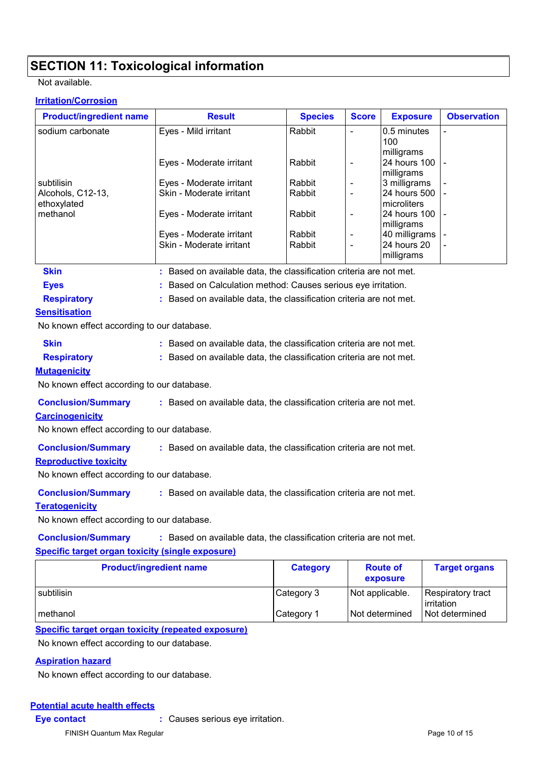# **SECTION 11: Toxicological information**

#### Not available.

#### **Irritation/Corrosion**

| <b>Product/ingredient name</b>                          | <b>Result</b>                                                       | <b>Species</b> | <b>Score</b>                 | <b>Exposure</b>                  | <b>Observation</b> |  |  |
|---------------------------------------------------------|---------------------------------------------------------------------|----------------|------------------------------|----------------------------------|--------------------|--|--|
| sodium carbonate                                        | Eyes - Mild irritant                                                | Rabbit         | $\overline{\phantom{a}}$     | 0.5 minutes<br>100<br>milligrams |                    |  |  |
|                                                         | Eyes - Moderate irritant                                            | Rabbit         | $\qquad \qquad \blacksquare$ | 24 hours 100<br>milligrams       |                    |  |  |
| subtilisin                                              | Eyes - Moderate irritant                                            | Rabbit         |                              | 3 milligrams                     |                    |  |  |
| Alcohols, C12-13,                                       | Skin - Moderate irritant                                            | Rabbit         | $\frac{1}{2}$                | 24 hours 500<br>microliters      |                    |  |  |
| ethoxylated<br>methanol                                 | Eyes - Moderate irritant                                            | Rabbit         | $\qquad \qquad \blacksquare$ | 24 hours 100<br>milligrams       |                    |  |  |
|                                                         | Eyes - Moderate irritant                                            | Rabbit         | -                            | 40 milligrams                    |                    |  |  |
|                                                         | Skin - Moderate irritant                                            | Rabbit         |                              | 24 hours 20<br>milligrams        |                    |  |  |
| <b>Skin</b>                                             | : Based on available data, the classification criteria are not met. |                |                              |                                  |                    |  |  |
| <b>Eyes</b>                                             | Based on Calculation method: Causes serious eye irritation.         |                |                              |                                  |                    |  |  |
| <b>Respiratory</b>                                      | : Based on available data, the classification criteria are not met. |                |                              |                                  |                    |  |  |
| <b>Sensitisation</b>                                    |                                                                     |                |                              |                                  |                    |  |  |
| No known effect according to our database.              |                                                                     |                |                              |                                  |                    |  |  |
| <b>Skin</b>                                             | : Based on available data, the classification criteria are not met. |                |                              |                                  |                    |  |  |
| <b>Respiratory</b>                                      | : Based on available data, the classification criteria are not met. |                |                              |                                  |                    |  |  |
| <b>Mutagenicity</b>                                     |                                                                     |                |                              |                                  |                    |  |  |
| No known effect according to our database.              |                                                                     |                |                              |                                  |                    |  |  |
| <b>Conclusion/Summary</b><br><b>Carcinogenicity</b>     | : Based on available data, the classification criteria are not met. |                |                              |                                  |                    |  |  |
| No known effect according to our database.              |                                                                     |                |                              |                                  |                    |  |  |
| <b>Conclusion/Summary</b>                               | : Based on available data, the classification criteria are not met. |                |                              |                                  |                    |  |  |
| <b>Reproductive toxicity</b>                            |                                                                     |                |                              |                                  |                    |  |  |
| No known effect according to our database.              |                                                                     |                |                              |                                  |                    |  |  |
| <b>Conclusion/Summary</b>                               | : Based on available data, the classification criteria are not met. |                |                              |                                  |                    |  |  |
| <b>Teratogenicity</b>                                   |                                                                     |                |                              |                                  |                    |  |  |
| No known effect according to our database.              |                                                                     |                |                              |                                  |                    |  |  |
| <b>Conclusion/Summary</b>                               | : Based on available data, the classification criteria are not met. |                |                              |                                  |                    |  |  |
| <b>Specific target organ toxicity (single exposure)</b> |                                                                     |                |                              |                                  |                    |  |  |
| <b>Product/ingredient name</b>                          | <b>Category</b>                                                     |                | <b>Route of</b><br>exposure  | <b>Target organs</b>             |                    |  |  |

|            |                        | exposure        | --                              |
|------------|------------------------|-----------------|---------------------------------|
| subtilisin | Category 3             | Not applicable. | Respiratory tract<br>irritation |
| I methanol | ∣Category <sup>1</sup> | Not determined  | l Not determined                |

#### **Specific target organ toxicity (repeated exposure)**

No known effect according to our database.

#### **Aspiration hazard**

No known effect according to our database.

#### **Potential acute health effects**

**Eye contact :** Causes serious eye irritation.

FINISH Quantum Max Regular **Page 10 of 15** Page 10 of 15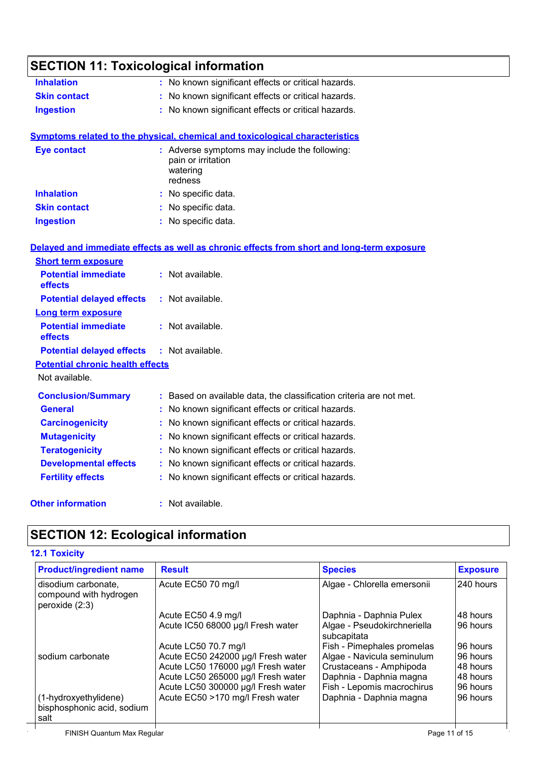| <b>SECTION 11: Toxicological information</b> |                                                                                            |
|----------------------------------------------|--------------------------------------------------------------------------------------------|
| <b>Inhalation</b>                            | : No known significant effects or critical hazards.                                        |
| <b>Skin contact</b>                          | : No known significant effects or critical hazards.                                        |
| <b>Ingestion</b>                             | : No known significant effects or critical hazards.                                        |
|                                              | <b>Symptoms related to the physical, chemical and toxicological characteristics</b>        |
| <b>Eye contact</b>                           | : Adverse symptoms may include the following:<br>pain or irritation<br>watering<br>redness |
| <b>Inhalation</b>                            | : No specific data.                                                                        |
| <b>Skin contact</b>                          | : No specific data.                                                                        |
| <b>Ingestion</b>                             | : No specific data.                                                                        |
|                                              | Delayed and immediate effects as well as chronic effects from short and long-term exposure |
| <b>Short term exposure</b>                   |                                                                                            |
| <b>Potential immediate</b><br>effects        | $:$ Not available.                                                                         |
| <b>Potential delayed effects</b>             | $:$ Not available.                                                                         |
| <b>Long term exposure</b>                    |                                                                                            |
| <b>Potential immediate</b><br>effects        | : Not available.                                                                           |
| <b>Potential delayed effects</b>             | : Not available.                                                                           |
| <b>Potential chronic health effects</b>      |                                                                                            |
| Not available.                               |                                                                                            |
| <b>Conclusion/Summary</b>                    | : Based on available data, the classification criteria are not met.                        |
| <b>General</b>                               | : No known significant effects or critical hazards.                                        |
| <b>Carcinogenicity</b>                       | No known significant effects or critical hazards.                                          |
| <b>Mutagenicity</b>                          | : No known significant effects or critical hazards.                                        |
| <b>Teratogenicity</b>                        | No known significant effects or critical hazards.                                          |
| <b>Developmental effects</b>                 | : No known significant effects or critical hazards.                                        |
| <b>Fertility effects</b>                     | : No known significant effects or critical hazards.                                        |
| <b>Other information</b>                     | : Not available.                                                                           |

# **SECTION 12: Ecological information**

### **12.1 Toxicity**

| <b>Product/ingredient name</b>                                    | <b>Result</b>                      | <b>Species</b>                             | <b>Exposure</b> |
|-------------------------------------------------------------------|------------------------------------|--------------------------------------------|-----------------|
| disodium carbonate,<br>compound with hydrogen<br>peroxide $(2:3)$ | Acute EC50 70 mg/l                 | Algae - Chlorella emersonii                | 240 hours       |
|                                                                   | Acute EC50 4.9 mg/l                | Daphnia - Daphnia Pulex                    | 48 hours        |
|                                                                   | Acute IC50 68000 µg/l Fresh water  | Algae - Pseudokirchneriella<br>subcapitata | 96 hours        |
|                                                                   | Acute LC50 70.7 mg/l               | Fish - Pimephales promelas                 | 96 hours        |
| sodium carbonate                                                  | Acute EC50 242000 µg/l Fresh water | Algae - Navicula seminulum                 | 96 hours        |
|                                                                   | Acute LC50 176000 µg/l Fresh water | Crustaceans - Amphipoda                    | 48 hours        |
|                                                                   | Acute LC50 265000 µg/l Fresh water | Daphnia - Daphnia magna                    | 48 hours        |
|                                                                   | Acute LC50 300000 µg/l Fresh water | Fish - Lepomis macrochirus                 | 96 hours        |
| (1-hydroxyethylidene)                                             | Acute EC50 >170 mg/l Fresh water   | Daphnia - Daphnia magna                    | 96 hours        |
| bisphosphonic acid, sodium<br>salt                                |                                    |                                            |                 |
| FINISH Quantum Max Regular                                        |                                    |                                            | Page 11 of 15   |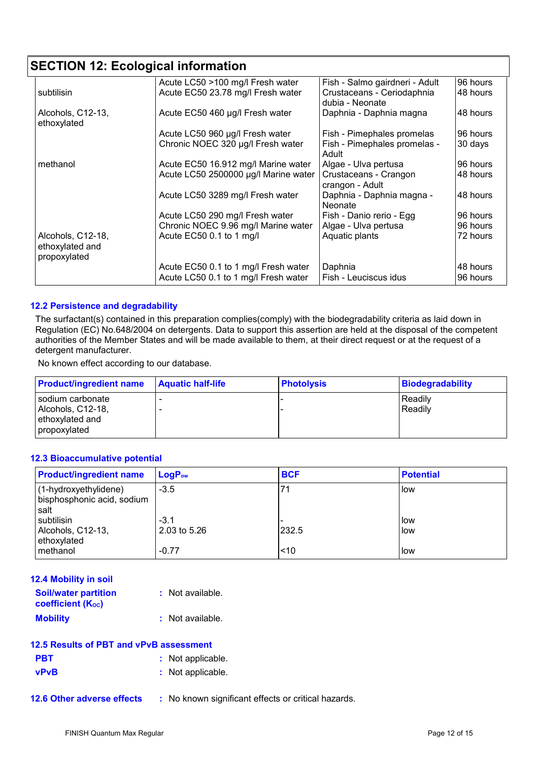# **SECTION 12: Ecological information**

|                   | Acute LC50 >100 mg/l Fresh water     | Fish - Salmo gairdneri - Adult | 96 hours |
|-------------------|--------------------------------------|--------------------------------|----------|
| subtilisin        | Acute EC50 23.78 mg/l Fresh water    | Crustaceans - Ceriodaphnia     | 48 hours |
|                   |                                      | dubia - Neonate                |          |
| Alcohols, C12-13, | Acute EC50 460 µg/l Fresh water      | Daphnia - Daphnia magna        | 48 hours |
| ethoxylated       |                                      |                                |          |
|                   |                                      |                                | 96 hours |
|                   | Acute LC50 960 µg/l Fresh water      | Fish - Pimephales promelas     |          |
|                   | Chronic NOEC 320 µg/l Fresh water    | Fish - Pimephales promelas -   | 30 days  |
|                   |                                      | Adult                          |          |
| methanol          | Acute EC50 16.912 mg/l Marine water  | Algae - Ulva pertusa           | 96 hours |
|                   | Acute LC50 2500000 µg/l Marine water | Crustaceans - Crangon          | 48 hours |
|                   |                                      | crangon - Adult                |          |
|                   | Acute LC50 3289 mg/l Fresh water     | Daphnia - Daphnia magna -      | 48 hours |
|                   |                                      | <b>Neonate</b>                 |          |
|                   |                                      |                                |          |
|                   | Acute LC50 290 mg/l Fresh water      | Fish - Danio rerio - Egg       | 96 hours |
|                   | Chronic NOEC 9.96 mg/l Marine water  | Algae - Ulva pertusa           | 96 hours |
| Alcohols, C12-18, | Acute EC50 0.1 to 1 mg/l             | Aquatic plants                 | 72 hours |
| ethoxylated and   |                                      |                                |          |
| propoxylated      |                                      |                                |          |
|                   |                                      |                                |          |
|                   | Acute EC50 0.1 to 1 mg/l Fresh water | Daphnia                        | 48 hours |
|                   | Acute LC50 0.1 to 1 mg/l Fresh water | Fish - Leuciscus idus          | 96 hours |

#### **12.2 Persistence and degradability**

The surfactant(s) contained in this preparation complies(comply) with the biodegradability criteria as laid down in Regulation (EC) No.648/2004 on detergents. Data to support this assertion are held at the disposal of the competent authorities of the Member States and will be made available to them, at their direct request or at the request of a detergent manufacturer.

No known effect according to our database.

| <b>Product/ingredient name</b>                                           | <b>Aquatic half-life</b> | <b>Photolysis</b> | <b>Biodegradability</b> |
|--------------------------------------------------------------------------|--------------------------|-------------------|-------------------------|
| sodium carbonate<br>Alcohols, C12-18,<br>ethoxylated and<br>propoxylated |                          |                   | l Readilv<br>Readily    |

#### **12.3 Bioaccumulative potential**

| <b>Product/ingredient name</b>                              | $LogP_{ow}$            | <b>BCF</b> | <b>Potential</b> |
|-------------------------------------------------------------|------------------------|------------|------------------|
| (1-hydroxyethylidene)<br>bisphosphonic acid, sodium<br>salt | $-3.5$                 | 71         | l low            |
| subtilisin<br>Alcohols, C12-13,<br>ethoxylated              | $-3.1$<br>2.03 to 5.26 | 232.5      | l low<br>l low   |
| methanol                                                    | $-0.77$                | < 10       | low              |

| <b>12.4 Mobility in soil</b>                     |                  |
|--------------------------------------------------|------------------|
| <b>Soil/water partition</b><br>coefficient (Koc) | : Not available. |
| <b>Mobility</b>                                  | : Not available. |

| 12.5 Results of PBT and vPvB assessment |  |
|-----------------------------------------|--|
|-----------------------------------------|--|

| <b>PBT</b>  | : Not applicable. |
|-------------|-------------------|
| <b>vPvB</b> | : Not applicable. |

**12.6 Other adverse effects** : No known significant effects or critical hazards.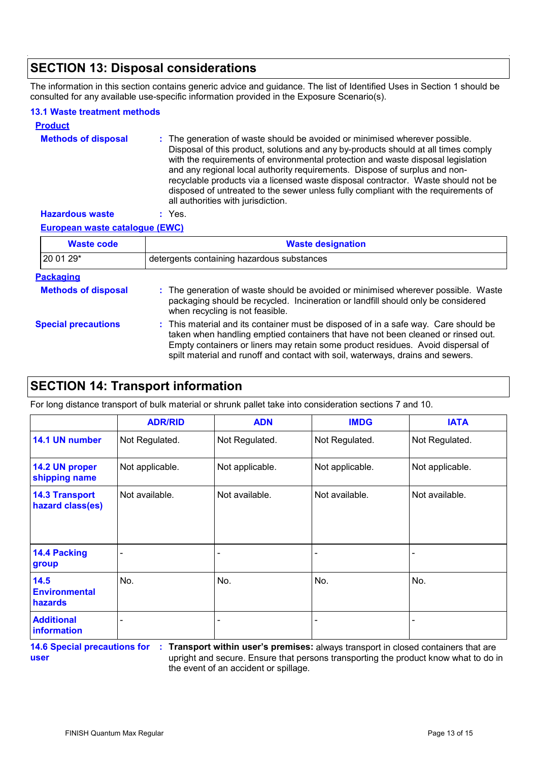# **SECTION 13: Disposal considerations**

The information in this section contains generic advice and guidance. The list of Identified Uses in Section 1 should be consulted for any available use-specific information provided in the Exposure Scenario(s).

#### **13.1 Waste treatment methods**

| <b>Product</b>             |                                                                                                                                                                                                                                                                                                                                                                                                                                                                                                                                                      |
|----------------------------|------------------------------------------------------------------------------------------------------------------------------------------------------------------------------------------------------------------------------------------------------------------------------------------------------------------------------------------------------------------------------------------------------------------------------------------------------------------------------------------------------------------------------------------------------|
| <b>Methods of disposal</b> | : The generation of waste should be avoided or minimised wherever possible.<br>Disposal of this product, solutions and any by-products should at all times comply<br>with the requirements of environmental protection and waste disposal legislation<br>and any regional local authority requirements. Dispose of surplus and non-<br>recyclable products via a licensed waste disposal contractor. Waste should not be<br>disposed of untreated to the sewer unless fully compliant with the requirements of<br>all authorities with jurisdiction. |
| <b>Hazardous waste</b>     | Yes.                                                                                                                                                                                                                                                                                                                                                                                                                                                                                                                                                 |

**European waste catalogue (EWC)**

| <b>Waste code</b>          | <b>Waste designation</b>                                                                                                                                                                                                                                                                                                                     |  |  |  |
|----------------------------|----------------------------------------------------------------------------------------------------------------------------------------------------------------------------------------------------------------------------------------------------------------------------------------------------------------------------------------------|--|--|--|
| 20 01 29*                  | detergents containing hazardous substances                                                                                                                                                                                                                                                                                                   |  |  |  |
| <b>Packaging</b>           |                                                                                                                                                                                                                                                                                                                                              |  |  |  |
| <b>Methods of disposal</b> | : The generation of waste should be avoided or minimised wherever possible. Waste<br>packaging should be recycled. Incineration or landfill should only be considered<br>when recycling is not feasible.                                                                                                                                     |  |  |  |
| <b>Special precautions</b> | : This material and its container must be disposed of in a safe way. Care should be<br>taken when handling emptied containers that have not been cleaned or rinsed out.<br>Empty containers or liners may retain some product residues. Avoid dispersal of<br>spilt material and runoff and contact with soil, waterways, drains and sewers. |  |  |  |

### **SECTION 14: Transport information**

For long distance transport of bulk material or shrunk pallet take into consideration sections 7 and 10.

|                                           | <b>ADR/RID</b>  | <b>ADN</b>      | <b>IMDG</b>     | <b>IATA</b>     |
|-------------------------------------------|-----------------|-----------------|-----------------|-----------------|
| 14.1 UN number                            | Not Regulated.  | Not Regulated.  | Not Regulated.  | Not Regulated.  |
| 14.2 UN proper<br>shipping name           | Not applicable. | Not applicable. | Not applicable. | Not applicable. |
| <b>14.3 Transport</b><br>hazard class(es) | Not available.  | Not available.  | Not available.  | Not available.  |
| 14.4 Packing<br>group                     |                 |                 |                 |                 |
| 14.5<br><b>Environmental</b><br>hazards   | No.             | No.             | No.             | No.             |
| <b>Additional</b><br><i>information</i>   |                 |                 |                 |                 |

**14.6 Special precautions for : user**

**Transport within user's premises:** always transport in closed containers that are upright and secure. Ensure that persons transporting the product know what to do in the event of an accident or spillage.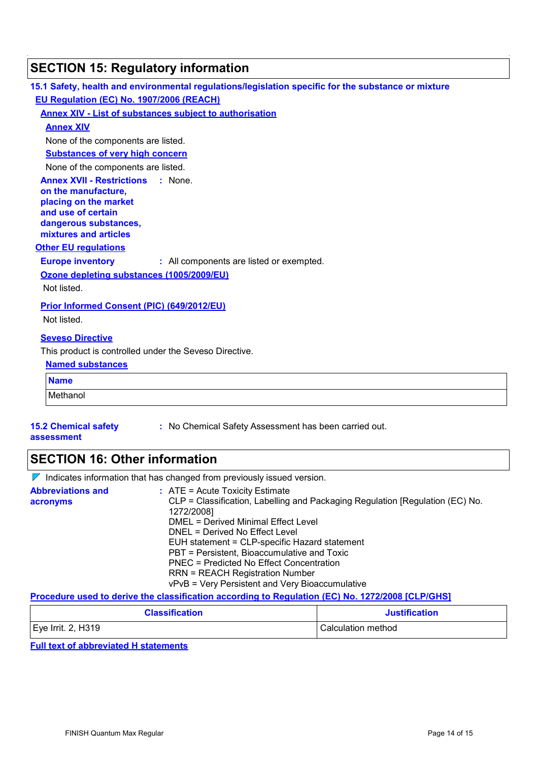| 15.1 Safety, health and environmental regulations/legislation specific for the substance or mixture                                                                 |  |  |
|---------------------------------------------------------------------------------------------------------------------------------------------------------------------|--|--|
| EU Regulation (EC) No. 1907/2006 (REACH)                                                                                                                            |  |  |
| <b>Annex XIV - List of substances subject to authorisation</b>                                                                                                      |  |  |
| <b>Annex XIV</b>                                                                                                                                                    |  |  |
| None of the components are listed.                                                                                                                                  |  |  |
| <b>Substances of very high concern</b>                                                                                                                              |  |  |
| None of the components are listed.                                                                                                                                  |  |  |
| <b>Annex XVII - Restrictions</b><br>: None.<br>on the manufacture,<br>placing on the market<br>and use of certain<br>dangerous substances,<br>mixtures and articles |  |  |
| <b>Other EU regulations</b>                                                                                                                                         |  |  |
| <b>Europe inventory</b><br>: All components are listed or exempted.                                                                                                 |  |  |
| Ozone depleting substances (1005/2009/EU)                                                                                                                           |  |  |
| Not listed.                                                                                                                                                         |  |  |
| Prior Informed Consent (PIC) (649/2012/EU)<br>Not listed.                                                                                                           |  |  |
| <b>Seveso Directive</b>                                                                                                                                             |  |  |
| This product is controlled under the Seveso Directive.                                                                                                              |  |  |
| <b>Named substances</b>                                                                                                                                             |  |  |
| <b>Name</b>                                                                                                                                                         |  |  |
| Methanol                                                                                                                                                            |  |  |
| : No Chemical Safety Assessment has been carried out.<br><b>15.2 Chemical safety</b><br>assessment                                                                  |  |  |

# **SECTION 16: Other information**

 $\nabla$  Indicates information that has changed from previously issued version.

| <b>Abbreviations and</b><br>acronyms | $:$ ATE = Acute Toxicity Estimate<br>CLP = Classification, Labelling and Packaging Regulation [Regulation (EC) No.<br>1272/2008]<br>DMEL = Derived Minimal Effect Level<br>DNEL = Derived No Effect Level<br>EUH statement = CLP-specific Hazard statement<br>PBT = Persistent, Bioaccumulative and Toxic<br>PNEC = Predicted No Effect Concentration<br><b>RRN = REACH Registration Number</b> |
|--------------------------------------|-------------------------------------------------------------------------------------------------------------------------------------------------------------------------------------------------------------------------------------------------------------------------------------------------------------------------------------------------------------------------------------------------|
|                                      | vPvB = Very Persistent and Very Bioaccumulative                                                                                                                                                                                                                                                                                                                                                 |

#### **Procedure used to derive the classification according to Regulation (EC) No. 1272/2008 [CLP/GHS]**

| <b>Classification</b>          | <b>Justification</b> |
|--------------------------------|----------------------|
| $\mathsf{E}$ ye Irrit. 2, H319 | Calculation method   |
|                                |                      |

#### **Full text of abbreviated H statements**